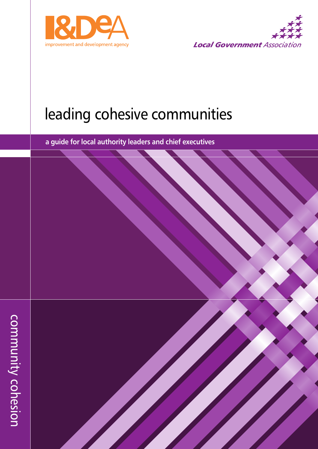



# leading cohesive communities

**research into the balance of funding review a guide for local authority leaders and chief executives**

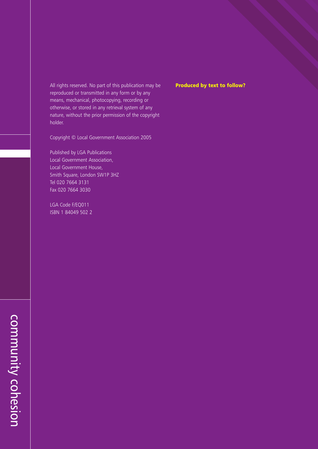All rights reserved. No part of this publication may be **Produced by text to follow?** reproduced or transmitted in any form or by any means, mechanical, photocopying, recording or otherwise, or stored in any retrieval system of any nature, without the prior permission of the copyright holder.

Copyright © Local Government Association 2005

Published by LGA Publications Local Government Association, Local Government House, Smith Square, London SW1P 3HZ Tel 020 7664 3131 Fax 020 7664 3030

LGA Code F/EQ011 ISBN 1 84049 502 2

 $\bigcap$ o  $\overline{\mathsf{B}}$  $\overline{\mathsf{B}}$  $\overline{\phantom{0}}$ 

nit<br>T  $\prec$  $\bigcap$ o  $\overline{\mathbf{D}}$  $\overline{\mathsf{D}}$ 

Si<br>O

 $\overline{\mathbf{C}}$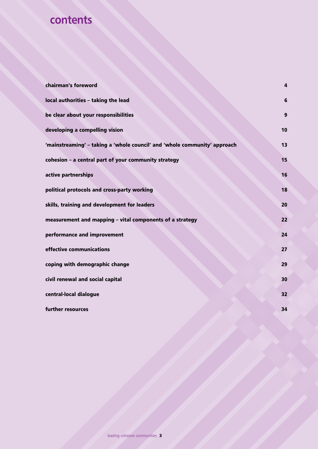# **contents**

| chairman's foreword                                                       | $\overline{a}$ |
|---------------------------------------------------------------------------|----------------|
| local authorities - taking the lead                                       | $6\phantom{1}$ |
| be clear about your responsibilities                                      | 9              |
| developing a compelling vision                                            | 10             |
| 'mainstreaming' - taking a 'whole council' and 'whole community' approach | 13             |
| cohesion - a central part of your community strategy                      | 15             |
| active partnerships                                                       | 16             |
| political protocols and cross-party working                               | 18             |
| skills, training and development for leaders                              | 20             |
| measurement and mapping - vital components of a strategy                  | 22             |
| performance and improvement                                               | 24             |
| effective communications                                                  | 27             |
| coping with demographic change                                            | 29             |
| civil renewal and social capital                                          | 30             |
| central-local dialogue                                                    | 32             |
| further resources                                                         | 34             |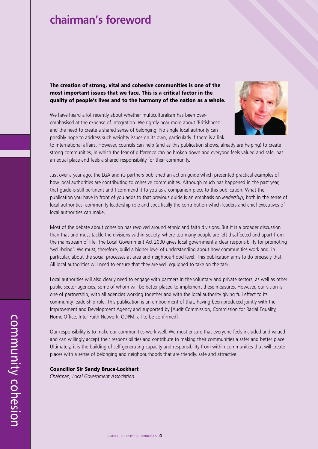### **chairman's foreword**

**The creation of strong, vital and cohesive communities is one of the most important issues that we face. This is a critical factor in the quality of people's lives and to the harmony of the nation as a whole.**

We have heard a lot recently about whether multiculturalism has been overemphasised at the expense of integration. We rightly hear more about 'Britishness' and the need to create a shared sense of belonging. No single local authority can possibly hope to address such weighty issues on its own, particularly if there is a link



to international affairs. However, councils can help (and as this publication shows, already *are* helping) to create strong communities, in which the fear of difference can be broken down and everyone feels valued and safe, has an equal place and feels a shared responsibility for their community.

Just over a year ago, the LGA and its partners published an action guide which presented practical examples of how local authorities are contributing to cohesive communities. Although much has happened in the past year, that guide is still pertinent and I commend it to you as a companion piece to this publication. What the publication you have in front of you adds to that previous guide is an emphasis on *leadership*, both in the sense of local authorities' community leadership role and specifically the contribution which leaders and chief executives of local authorities can make.

Most of the debate about cohesion has revolved around ethnic and faith divisions. But it is a broader discussion than that and must tackle the divisions within society, where too many people are left disaffected and apart from the mainstream of life. The Local Government Act 2000 gives local government a clear responsibility for promoting 'well-being'. We must, therefore, build a higher level of understanding about how communities work and, in particular, about the social processes at area and neighbourhood level. This publication aims to do precisely that. All local authorities will need to ensure that they are well equipped to take on the task.

Local authorities will also clearly need to engage with partners in the voluntary and private sectors, as well as other public sector agencies, some of whom will be better placed to implement these measures. However, our vision is one of partnership, with all agencies working together and with the local authority giving full effect to its community leadership role. This publication is an embodiment of that, having been produced jointly with the Improvement and Development Agency and supported by [Audit Commission, Commission for Racial Equality, Home Office, Inter Faith Network, ODPM, all to be confirmed]

Our responsibility is to make our communities work well. We must ensure that everyone feels included and valued and can willingly accept their responsibilities and contribute to making their communities a safer and better place. Ultimately, it is the building of self-generating capacity and responsibility from within communities that will create places with a sense of belonging and neighbourhoods that are friendly, safe and attractive.

#### **Councillor Sir Sandy Bruce-Lockhart**

*Chairman, Local Government Association*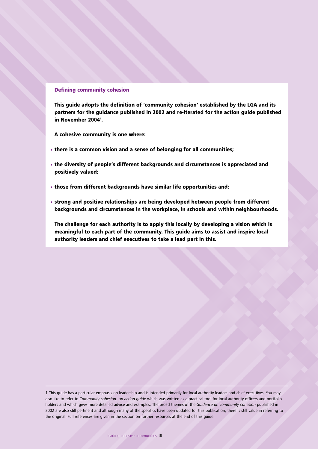#### **Defining community cohesion**

**This guide adopts the definition of 'community cohesion' established by the LGA and its partners for the guidance published in 2002 and re-iterated for the action guide published in November 20041 .**

**A cohesive community is one where:**

- **there is a common vision and a sense of belonging for all communities;**
- **the diversity of people's different backgrounds and circumstances is appreciated and positively valued;**
- **those from different backgrounds have similar life opportunities and;**
- **strong and positive relationships are being developed between people from different backgrounds and circumstances in the workplace, in schools and within neighbourhoods.**

**The challenge for each authority is to apply this locally by developing a vision which is meaningful to each part of the community. This guide aims to assist and inspire local authority leaders and chief executives to take a lead part in this.**

**<sup>1</sup>** This guide has a particular emphasis on leadership and is intended primarily for local authority leaders and chief executives. You may also like to refer to *Community cohesion: an action guide* which was written as a practical tool for local authority officers and portfolio holders and which gives more detailed advice and examples. The broad themes of the *Guidance on community cohesion* published in 2002 are also still pertinent and although many of the specifics have been updated for this publication, there is still value in referring to the original. Full references are given in the section on further resources at the end of this guide.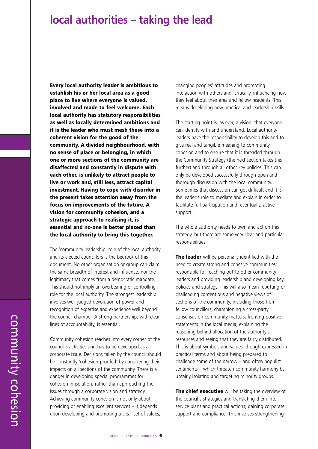### **local authorities – taking the lead**

**Every local authority leader is ambitious to establish his or her local area as a good place to live where everyone is valued, involved and made to feel welcome. Each local authority has statutory responsibilities as well as locally determined ambitions and it is the leader who must mesh these into a coherent vision for the good of the community. A divided neighbourhood, with no sense of place or belonging, in which one or more sections of the community are disaffected and constantly in dispute with each other, is unlikely to attract people to live or work and, still less, attract capital investment. Having to cope with disorder in the present takes attention away from the focus on improvements of the future. A vision for community cohesion, and a strategic approach to realising it, is essential and no-one is better placed than the local authority to bring this together.**

The 'community leadership' role of the local authority and its elected councillors is the bedrock of this document. No other organisation or group can claim the same breadth of interest and influence, nor the legitimacy that comes from a democratic mandate. This should not imply an overbearing or controlling role for the local authority. The strongest leadership involves well-judged devolution of power and recognition of expertise and experience well beyond the council chamber. A strong partnership, with clear lines of accountability, is essential.

Community cohesion reaches into every corner of the council's activities and has to be developed as a corporate issue. Decisions taken by the council should be constantly 'cohesion-proofed' by considering their impacts on all sections of the community. There is a danger in developing special programmes for cohesion in isolation, rather than approaching the issues through a corporate vision and strategy. Achieving community cohesion is not only about providing or enabling excellent services – it depends upon developing and promoting a clear set of values,

changing peoples' attitudes and promoting interaction with others and, critically, influencing how they feel about their area and fellow residents. This means developing new practical and leadership skills.

The starting point is, as ever, a vision, that everyone can identify with and understand. Local authority leaders have the responsibility to develop this and to give real and tangible meaning to community cohesion and to ensure that it is threaded through the Community Strategy (the next section takes this further) and through all other key policies. This can only be developed successfully through open and thorough discussion with the local community. Sometimes that discussion can get difficult and it is the leader's role to mediate and explain in order to facilitate full participation and, eventually, active support.

The whole authority needs to own and act on this strategy, but there are some very clear and particular responsibilities:

**The leader** will be personally identified with the need to create strong and cohesive communities; responsible for reaching out to other community leaders and providing leadership and developing key policies and strategy. This will also mean rebutting or challenging contentious and negative views of sections of the community, including those from fellow councillors; championing a cross-party consensus on community matters; fronting positive statements in the local media; explaining the reasoning behind allocation of the authority's resources and seeing that they are fairly distributed. This is about symbols and values, though expressed in practical terms and about being prepared to challenge some of the narrow – and often populist sentiments – which threaten community harmony by unfairly isolating and targeting minority groups.

**The chief executive** will be taking the overview of the council's strategies and translating them into service plans and practical actions; gaining corporate support and compliance. This involves strengthening

 $\bigcap$ o  $\overline{\mathsf{B}}$  $\overline{\mathsf{B}}$  $\overline{\phantom{0}}$ 

nit<br>T  $\prec$  $\bigcap$ o  $\overline{\mathbf{D}}$  $\overline{\mathsf{D}}$ 

Si<br>O

 $\beth$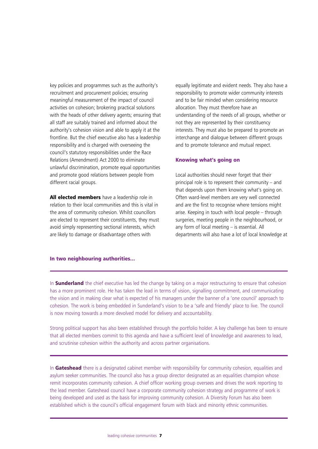key policies and programmes such as the authority's recruitment and procurement policies; ensuring meaningful measurement of the impact of council activities on cohesion; brokering practical solutions with the heads of other delivery agents; ensuring that all staff are suitably trained and informed about the authority's cohesion vision and able to apply it at the frontline. But the chief executive also has a leadership responsibility and is charged with overseeing the council's statutory responsibilities under the Race Relations (Amendment) Act 2000 to eliminate unlawful discrimination, promote equal opportunities and promote good relations between people from different racial groups.

**All elected members** have a leadership role in relation to their local communities and this is vital in the area of community cohesion. Whilst councillors are elected to represent their constituents, they must avoid simply representing sectional interests, which are likely to damage or disadvantage others with

equally legitimate and evident needs. They also have a responsibility to promote wider community interests and to be fair minded when considering resource allocation. They must therefore have an understanding of the needs of all groups, whether or not they are represented by their constituency interests. They must also be prepared to promote an interchange and dialogue between different groups and to promote tolerance and mutual respect.

#### **Knowing what's going on**

Local authorities should never forget that their principal role is to represent their community – and that depends upon them knowing what's going on. Often ward-level members are very well connected and are the first to recognise where tensions might arise. Keeping in touch with local people – through surgeries, meeting people in the neighbourhood, or any form of local meeting – is essential. All departments will also have a lot of local knowledge at

#### **In two neighbouring authorities…**

In **Sunderland** the chief executive has led the change by taking on a major restructuring to ensure that cohesion has a more prominent role. He has taken the lead in terms of vision, signalling commitment, and communicating the vision and in making clear what is expected of his managers under the banner of a 'one council' approach to cohesion. The work is being embedded in Sunderland's vision to be a 'safe and friendly' place to live. The council is now moving towards a more devolved model for delivery and accountability.

Strong political support has also been established through the portfolio holder. A key challenge has been to ensure that all elected members commit to this agenda and have a sufficient level of knowledge and awareness to lead, and scrutinise cohesion within the authority and across partner organisations.

In **Gateshead** there is a designated cabinet member with responsibility for community cohesion, equalities and asylum seeker communities. The council also has a group director designated as an equalities champion whose remit incorporates community cohesion. A chief officer working group oversees and drives the work reporting to the lead member. Gateshead council have a corporate community cohesion strategy and programme of work is being developed and used as the basis for improving community cohesion. A Diversity Forum has also been established which is the council's official engagement forum with black and minority ethnic communities.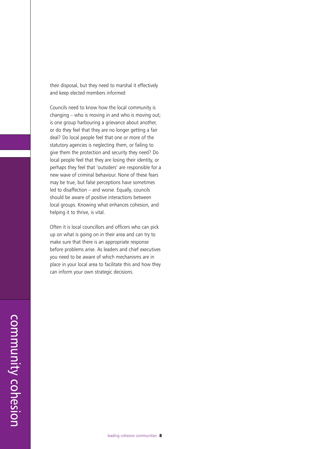their disposal, but they need to marshal it effectively and keep elected members informed

Councils need to know how the local community is changing – who is moving in and who is moving out; is one group harbouring a grievance about another, or do they feel that they are no longer getting a fair deal? Do local people feel that one or more of the statutory agencies is neglecting them, or failing to give them the protection and security they need? Do local people feel that they are losing their identity, or perhaps they feel that 'outsiders' are responsible for a new wave of criminal behaviour. None of these fears may be true, but false perceptions have sometimes led to disaffection – and worse. Equally, councils should be aware of positive interactions between local groups. Knowing what enhances cohesion, and helping it to thrive, is vital.

Often it is local councillors and officers who can pick up on what is going on in their area and can try to make sure that there is an appropriate response before problems arise. As leaders and chief executives you need to be aware of which mechanisms are in place in your local area to facilitate this and how they can inform your own strategic decisions.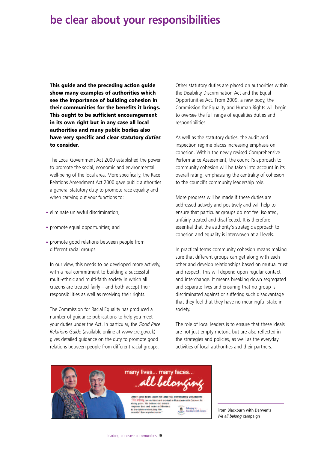### **be clear about your responsibilities**

**This guide and the preceding action guide show many examples of authorities which see the importance of building cohesion in their communities for the benefits it brings. This ought to be sufficient encouragement in its own right but in any case all local authorities and many public bodies also have very specific and clear statutory** *duties* **to consider.**

The Local Government Act 2000 established the power to promote the social, economic and environmental well-being of the local area. More specifically, the Race Relations Amendment Act 2000 gave public authorities a general statutory duty to promote race equality and when carrying out your functions to:

- eliminate unlawful discrimination;
- promote equal opportunities; and
- promote good relations between people from different racial groups.

In our view, this needs to be developed more actively, with a real commitment to building a successful multi-ethnic and multi-faith society in which all citizens are treated fairly – and both accept their responsibilities as well as receiving their rights.

The Commission for Racial Equality has produced a number of guidance publications to help you meet your duties under the Act. In particular, the *Good Race Relations Guide* (available online at www.cre.gov.uk) gives detailed guidance on the duty to promote good relations between people from different racial groups.

Other statutory duties are placed on authorities within the Disability Discrimination Act and the Equal Opportunities Act. From 2009, a new body, the Commission for Equality and Human Rights will begin to oversee the full range of equalities duties and responsibilities.

As well as the statutory duties, the audit and inspection regime places increasing emphasis on cohesion. Within the newly revised Comprehensive Performance Assessment, the council's approach to community cohesion will be taken into account in its overall rating, emphasising the centrality of cohesion to the council's community leadership role.

More progress will be made if these duties are addressed actively and positively and will help to ensure that particular groups do not feel isolated, unfairly treated and disaffected. It is therefore essential that the authority's strategic approach to cohesion and equality is interwoven at all levels.

In practical terms community cohesion means making sure that different groups can get along with each other and develop relationships based on mutual trust and respect. This will depend upon regular contact and interchange. It means breaking down segregated and separate lives and ensuring that no group is discriminated against or suffering such disadvantage that they feel that they have no meaningful stake in society.

The role of local leaders is to ensure that these ideals are not just empty rhetoric but are also reflected in the strategies and policies, as well as the everyday activities of local authorities and their partners.



From Blackburn with Darwen's *We all belong* campaign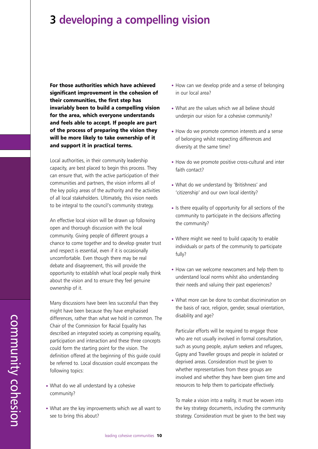### **3 developing a compelling vision**

**For those authorities which have achieved significant improvement in the cohesion of their communities, the first step has invariably been to build a compelling vision for the area, which everyone understands and feels able to accept. If people are part of the process of preparing the vision they will be more likely to take ownership of it and support it in practical terms.**

Local authorities, in their community leadership capacity, are best placed to begin this process. They can ensure that, with the active participation of their communities and partners, the vision informs all of the key policy areas of the authority and the activities of all local stakeholders. Ultimately, this vision needs to be integral to the council's community strategy.

An effective local vision will be drawn up following open and thorough discussion with the local community. Giving people of different groups a chance to come together and to develop greater trust and respect is essential, even if it is occasionally uncomfortable. Even though there may be real debate and disagreement, this will provide the opportunity to establish what local people really think about the vision and to ensure they feel genuine ownership of it.

Many discussions have been less successful than they might have been because they have emphasised differences, rather than what we hold in common. The Chair of the Commission for Racial Equality has described an integrated society as comprising equality, participation and interaction and these three concepts could form the starting point for the vision. The definition offered at the beginning of this guide could be referred to. Local discussion could encompass the following topics:

- What do we all understand by a cohesive community?
- What are the key improvements which we all want to see to bring this about?
- How can we develop pride and a sense of belonging in our local area?
- What are the values which we all believe should underpin our vision for a cohesive community?
- How do we promote common interests and a sense of belonging whilst respecting differences and diversity at the same time?
- How do we promote positive cross-cultural and inter faith contact?
- What do we understand by 'Britishness' and 'citizenship' and our own local identity?
- Is there equality of opportunity for all sections of the community to participate in the decisions affecting the community?
- Where might we need to build capacity to enable individuals or parts of the community to participate fully?
- How can we welcome newcomers and help them to understand local norms whilst also understanding their needs and valuing their past experiences?
- What more can be done to combat discrimination on the basis of race, religion, gender, sexual orientation, disability and age?

Particular efforts will be required to engage those who are not usually involved in formal consultation. such as young people, asylum seekers and refugees, Gypsy and Traveller groups and people in isolated or deprived areas. Consideration must be given to whether representatives from these groups are involved and whether they have been given time and resources to help them to participate effectively.

To make a vision into a reality, it must be woven into the key strategy documents, including the community strategy. Consideration must be given to the best way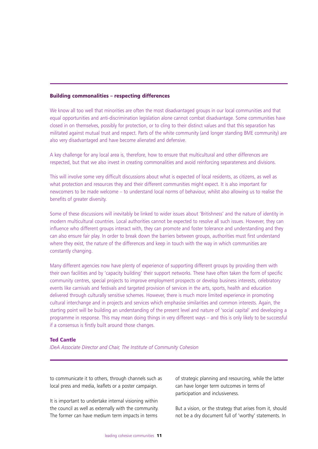### **Building commonalities – respecting differences**

We know all too well that minorities are often the most disadvantaged groups in our local communities and that equal opportunities and anti-discrimination legislation alone cannot combat disadvantage. Some communities have closed in on themselves, possibly for protection, or to cling to their distinct values and that this separation has militated against mutual trust and respect. Parts of the white community (and longer standing BME community) are also very disadvantaged and have become alienated and defensive.

A key challenge for any local area is, therefore, how to ensure that multicultural and other differences are respected, but that we also invest in creating commonalities and avoid reinforcing separateness and divisions.

This will involve some very difficult discussions about what is expected of local residents, as citizens, as well as what protection and resources they and their different communities might expect. It is also important for newcomers to be made welcome – to understand local norms of behaviour, whilst also allowing us to realise the benefits of greater diversity.

Some of these discussions will inevitably be linked to wider issues about 'Britishness' and the nature of identity in modern multicultural countries. Local authorities cannot be expected to resolve all such issues. However, they can influence who different groups interact with, they can promote and foster tolerance and understanding and they can also ensure fair play. In order to break down the barriers between groups, authorities must first understand where they exist, the nature of the differences and keep in touch with the way in which communities are constantly changing.

Many different agencies now have plenty of experience of supporting different groups by providing them with their own facilities and by 'capacity building' their support networks. These have often taken the form of specific community centres, special projects to improve employment prospects or develop business interests, celebratory events like carnivals and festivals and targeted provision of services in the arts, sports, health and education delivered through culturally sensitive schemes. However, there is much more limited experience in promoting cultural interchange and in projects and services which emphasise similarities and common interests. Again, the starting point will be building an understanding of the present level and nature of 'social capital' and developing a programme in response. This may mean doing things in very different ways – and this is only likely to be successful if a consensus is firstly built around those changes.

#### **Ted Cantle**

*IDeA Associate Director and Chair, The Institute of Community Cohesion*

to communicate it to others, through channels such as local press and media, leaflets or a poster campaign.

It is important to undertake internal visioning within the council as well as externally with the community. The former can have medium term impacts in terms

of strategic planning and resourcing, while the latter can have longer term outcomes in terms of participation and inclusiveness.

But a vision, or the strategy that arises from it, should not be a dry document full of 'worthy' statements. In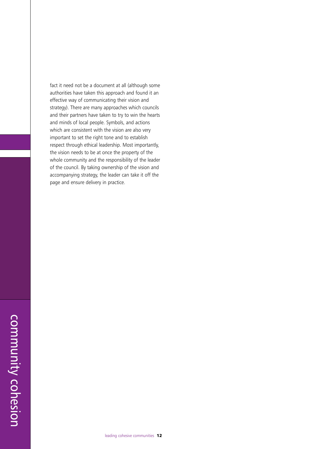fact it need not be a document at all (although some authorities have taken this approach and found it an effective way of communicating their vision and strategy). There are many approaches which councils and their partners have taken to try to win the hearts and minds of local people. Symbols, and actions which are consistent with the vision are also very important to set the right tone and to establish respect through ethical leadership. Most importantly, the vision needs to be at once the property of the whole community and the responsibility of the leader of the council. By taking ownership of the vision and accompanying strategy, the leader can take it off the page and ensure delivery in practice.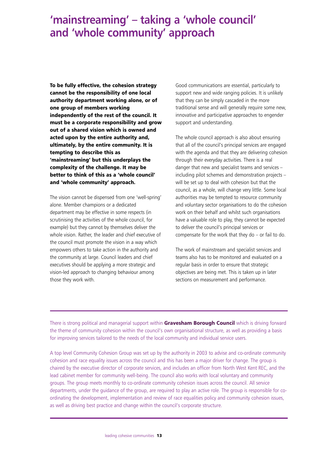### **'mainstreaming' – taking a 'whole council' and 'whole community' approach**

**To be fully effective, the cohesion strategy cannot be the responsibility of one local authority department working alone, or of one group of members working independently of the rest of the council. It must be a corporate responsibility and grow out of a shared vision which is owned and acted upon by the entire authority and, ultimately, by the entire community. It is tempting to describe this as 'mainstreaming' but this underplays the complexity of the challenge. It may be better to think of this as a 'whole council' and 'whole community' approach.**

The vision cannot be dispensed from one 'well-spring' alone. Member champions or a dedicated department may be effective in some respects (in scrutinising the activities of the whole council, for example) but they cannot by themselves deliver the whole vision. Rather, the leader and chief executive of the council must promote the vision in a way which empowers others to take action in the authority and the community at large. Council leaders and chief executives should be applying a more strategic and vision-led approach to changing behaviour among those they work with.

Good communications are essential, particularly to support new and wide ranging policies. It is unlikely that they can be simply cascaded in the more traditional sense and will generally require some new, innovative and participative approaches to engender support and understanding.

The whole council approach is also about ensuring that all of the council's principal services are engaged with the agenda and that they are delivering cohesion through their everyday activities. There is a real danger that new and specialist teams and services – including pilot schemes and demonstration projects – will be set up to deal with cohesion but that the council, as a whole, will change very little. Some local authorities may be tempted to resource community and voluntary sector organisations to do the cohesion work on their behalf and whilst such organisations have a valuable role to play, they cannot be expected to deliver the council's principal services or compensate for the work that they do – or fail to do.

The work of mainstream and specialist services and teams also has to be monitored and evaluated on a regular basis in order to ensure that strategic objectives are being met. This is taken up in later sections on measurement and performance.

There is strong political and managerial support within **Gravesham Borough Council** which is driving forward the theme of community cohesion within the council's own organisational structure, as well as providing a basis for improving services tailored to the needs of the local community and individual service users.

A top level Community Cohesion Group was set up by the authority in 2003 to advise and co-ordinate community cohesion and race equality issues across the council and this has been a major driver for change. The group is chaired by the executive director of corporate services, and includes an officer from North West Kent REC, and the lead cabinet member for community well-being. The council also works with local voluntary and community groups. The group meets monthly to co-ordinate community cohesion issues across the council. All service departments, under the guidance of the group, are required to play an active role. The group is responsible for coordinating the development, implementation and review of race equalities policy and community cohesion issues, as well as driving best practice and change within the council's corporate structure.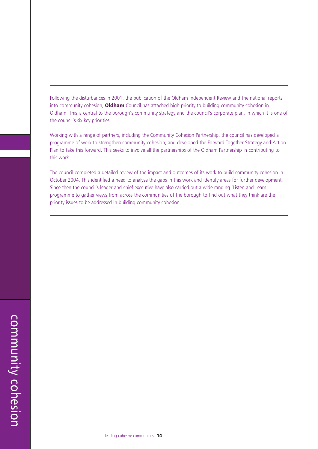Following the disturbances in 2001, the publication of the Oldham Independent Review and the national reports into community cohesion, **Oldham** Council has attached high priority to building community cohesion in Oldham. This is central to the borough's community strategy and the council's corporate plan, in which it is one of the council's six key priorities.

Working with a range of partners, including the Community Cohesion Partnership, the council has developed a programme of work to strengthen community cohesion, and developed the Forward Together Strategy and Action Plan to take this forward. This seeks to involve all the partnerships of the Oldham Partnership in contributing to this work.

The council completed a detailed review of the impact and outcomes of its work to build community cohesion in October 2004. This identified a need to analyse the gaps in this work and identify areas for further development. Since then the council's leader and chief executive have also carried out a wide ranging 'Listen and Learn' programme to gather views from across the communities of the borough to find out what they think are the priority issues to be addressed in building community cohesion.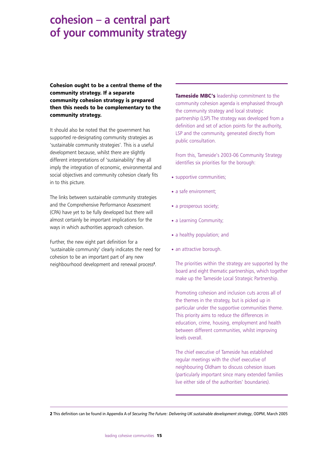### **cohesion – a central part of your community strategy**

**Cohesion ought to be a central theme of the community strategy. If a separate community cohesion strategy is prepared then this needs to be complementary to the community strategy.**

It should also be noted that the government has supported re-designating community strategies as 'sustainable community strategies'. This is a useful development because, whilst there are slightly different interpretations of 'sustainability' they all imply the integration of economic, environmental and social objectives and community cohesion clearly fits in to this picture.

The links between sustainable community strategies and the Comprehensive Performance Assessment (CPA) have yet to be fully developed but there will almost certainly be important implications for the ways in which authorities approach cohesion.

Further, the new eight part definition for a 'sustainable community' clearly indicates the need for cohesion to be an important part of any new neighbourhood development and renewal process**<sup>2</sup>** .

**Tameside MBC's** leadership commitment to the community cohesion agenda is emphasised through the community strategy and local strategic partnership (LSP).The strategy was developed from a definition and set of action points for the authority, LSP and the community, generated directly from public consultation.

From this, Tameside's 2003-06 Community Strategy identifies six priorities for the borough:

- supportive communities;
- a safe environment:
- a prosperous society;
- a Learning Community;
- a healthy population; and
- an attractive borough.

The priorities within the strategy are supported by the board and eight thematic partnerships, which together make up the Tameside Local Strategic Partnership.

Promoting cohesion and inclusion cuts across all of the themes in the strategy, but is picked up in particular under the supportive communities theme. This priority aims to reduce the differences in education, crime, housing, employment and health between different communities, whilst improving levels overall.

The chief executive of Tameside has established regular meetings with the chief executive of neighbouring Oldham to discuss cohesion issues (particularly important since many extended families live either side of the authorities' boundaries).

**2** This definition can be found in Appendix A of *Securing The Future: Delivering UK sustainable development strategy*, ODPM, March 2005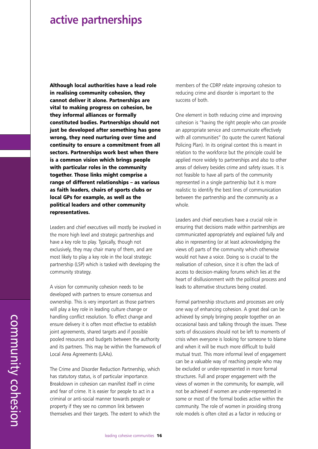### **active partnerships**

**Although local authorities have a lead role in realising community cohesion, they cannot deliver it alone. Partnerships are vital to making progress on cohesion, be they informal alliances or formally constituted bodies. Partnerships should not just be developed after something has gone wrong, they need nurturing over time and continuity to ensure a commitment from all sectors. Partnerships work best when there is a common vision which brings people with particular roles in the community together. Those links might comprise a range of different relationships – as various as faith leaders, chairs of sports clubs or local GPs for example, as well as the political leaders and other community representatives.**

Leaders and chief executives will mostly be involved in the more high level and strategic partnerships and have a key role to play. Typically, though not exclusively, they may chair many of them, and are most likely to play a key role in the local strategic partnership (LSP) which is tasked with developing the community strategy.

A vision for community cohesion needs to be developed with partners to ensure consensus and ownership. This is very important as those partners will play a key role in leading culture change or handling conflict resolution. To effect change and ensure delivery it is often most effective to establish joint agreements, shared targets and if possible pooled resources and budgets between the authority and its partners. This may be within the framework of Local Area Agreements (LAAs).

The Crime and Disorder Reduction Partnership, which has statutory status, is of particular importance. Breakdown in cohesion can manifest itself in crime and fear of crime. It is easier for people to act in a criminal or anti-social manner towards people or property if they see no common link between themselves and their targets. The extent to which the members of the CDRP relate improving cohesion to reducing crime and disorder is important to the success of both.

One element in both reducing crime and improving cohesion is "having the right people who can provide an appropriate service and communicate effectively with all communities" (to quote the current National Policing Plan). In its original context this is meant in relation to the workforce but the principle could be applied more widely to partnerships and also to other areas of delivery besides crime and safety issues. It is not feasible to have all parts of the community represented in a single partnership but it is more realistic to identify the best lines of communication between the partnership and the community as a whole.

Leaders and chief executives have a crucial role in ensuring that decisions made within partnerships are communicated appropriately and explained fully and also in representing (or at least acknowledging the views of) parts of the community which otherwise would not have a voice. Doing so is crucial to the realisation of cohesion, since it is often the lack of access to decision-making forums which lies at the heart of disillusionment with the political process and leads to alternative structures being created.

Formal partnership structures and processes are only one way of enhancing cohesion. A great deal can be achieved by simply bringing people together on an occasional basis and talking through the issues. These sorts of discussions should not be left to moments of crisis when everyone is looking for someone to blame and when it will be much more difficult to build mutual trust. This more informal level of engagement can be a valuable way of reaching people who may be excluded or under-represented in more formal structures. Full and proper engagement with the views of women in the community, for example, will not be achieved if women are under-represented in some or most of the formal bodies active within the community. The role of women in providing strong role models is often cited as a factor in reducing or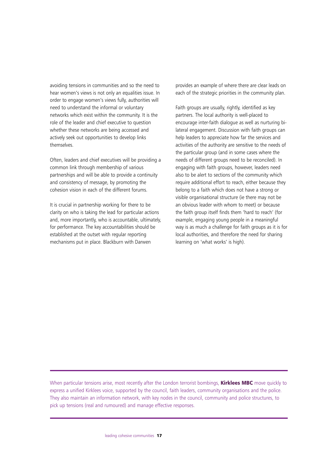avoiding tensions in communities and so the need to hear women's views is not only an equalities issue. In order to engage women's views fully, authorities will need to understand the informal or voluntary networks which exist within the community. It is the role of the leader and chief executive to question whether these networks are being accessed and actively seek out opportunities to develop links themselves.

Often, leaders and chief executives will be providing a common link through membership of various partnerships and will be able to provide a continuity and consistency of message, by promoting the cohesion vision in each of the different forums.

It is crucial in partnership working for there to be clarity on who is taking the lead for particular actions and, more importantly, who is accountable, ultimately, for performance. The key accountabilities should be established at the outset with regular reporting mechanisms put in place. Blackburn with Darwen

provides an example of where there are clear leads on each of the strategic priorities in the community plan.

Faith groups are usually, rightly, identified as key partners. The local authority is well-placed to encourage inter-faith dialogue as well as nurturing bilateral engagement. Discussion with faith groups can help leaders to appreciate how far the services and activities of the authority are sensitive to the needs of the particular group (and in some cases where the needs of different groups need to be reconciled). In engaging with faith groups, however, leaders need also to be alert to sections of the community which require additional effort to reach, either because they belong to a faith which does not have a strong or visible organisational structure (ie there may not be an obvious leader with whom to meet) or because the faith group itself finds them 'hard to reach' (for example, engaging young people in a meaningful way is as much a challenge for faith groups as it is for local authorities, and therefore the need for sharing learning on 'what works' is high).

When particular tensions arise, most recently after the London terrorist bombings, **Kirklees MBC** move quickly to express a unified Kirklees voice, supported by the council, faith leaders, community organisations and the police. They also maintain an information network, with key nodes in the council, community and police structures, to pick up tensions (real and rumoured) and manage effective responses.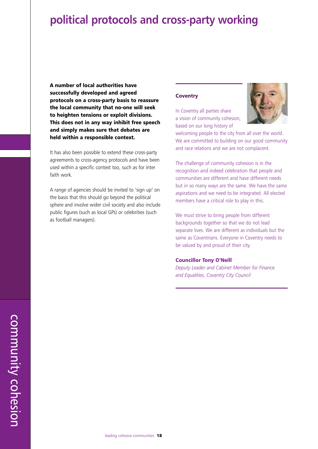### **political protocols and cross-party working**

**A number of local authorities have successfully developed and agreed protocols on a cross-party basis to reassure the local community that no-one will seek to heighten tensions or exploit divisions. This does not in any way inhibit free speech and simply makes sure that debates are held within a responsible context.**

It has also been possible to extend these cross-party agreements to cross-agency protocols and have been used within a specific context too, such as for inter faith work.

A range of agencies should be invited to 'sign up' on the basis that this should go beyond the political sphere and involve wider civil society and also include public figures (such as local GPs) or celebrities (such as football managers).

#### **Coventry**

In Coventry all parties share a vision of community cohesion, based on our long history of



welcoming people to the city from all over the world. We are committed to building on our good community and race relations and we are not complacent.

The challenge of community cohesion is in the recognition and indeed celebration that people and communities are different and have different needs but in so many ways are the same. We have the same aspirations and we need to be integrated. All elected members have a critical role to play in this.

We must strive to bring people from different backgrounds together so that we do not lead separate lives. We are different as individuals but the same as Coventrians. Everyone in Coventry needs to be valued by and proud of their city.

#### **Councillor Tony O'Neill**

*Deputy Leader and Cabinet Member for Finance and Equalities, Coventry City Council*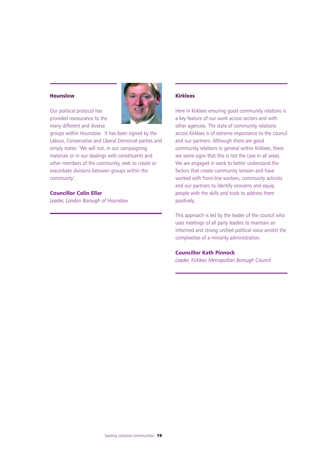### **Hounslow**

Our political protocol has provided reassurance to the many different and diverse



groups within Hounslow. It has been signed by the Labour, Conservative and Liberal Democrat parties and simply states: 'We will not, in our campaigning materials or in our dealings with constituents and other members of the community, seek to create or exacerbate divisions between groups within the community'.

### **Councillor Colin Ellar**

*Leader, London Borough of Hounslow*

### **Kirklees**

Here in Kirklees ensuring good community relations is a key feature of our work across sectors and with other agencies. The state of community relations across Kirklees is of extreme importance to the council and our partners. Although there are good community relations in general within Kirklees, there are some signs that this is not the case in all areas. We are engaged in work to better understand the factors that create community tension and have worked with front-line workers, community activists and our partners to identify concerns and equip people with the skills and tools to address them positively.

This approach is led by the leader of the council who uses meetings of all party leaders to maintain an informed and strong unified political voice amidst the complexities of a minority administration.

#### **Councillor Kath Pinnock**

*Leader, Kirklees Metropolitan Borough Council*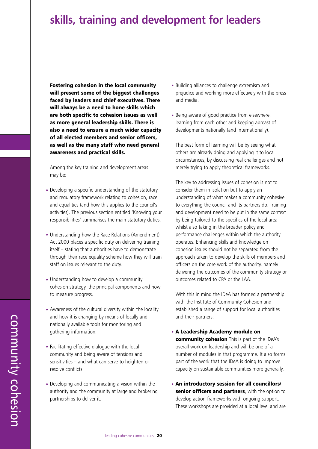### **skills, training and development for leaders**

**Fostering cohesion in the local community will present some of the biggest challenges faced by leaders and chief executives. There will always be a need to hone skills which are both specific to cohesion issues as well as more general leadership skills. There is also a need to ensure a much wider capacity of all elected members and senior officers, as well as the many staff who need general awareness and practical skills.**

Among the key training and development areas may be:

- Developing a specific understanding of the statutory and regulatory framework relating to cohesion, race and equalities (and how this applies to the council's activities). The previous section entitled 'Knowing your responsibilities' summarises the main statutory duties.
- Understanding how the Race Relations (Amendment) Act 2000 places a specific duty on delivering training itself – stating that authorities have to demonstrate through their race equality scheme how they will train staff on issues relevant to the duty.
- Understanding how to develop a community cohesion strategy, the principal components and how to measure progress.
- Awareness of the cultural diversity within the locality and how it is changing by means of locally and nationally available tools for monitoring and gathering information.
- Facilitating effective dialogue with the local community and being aware of tensions and sensitivities – and what can serve to heighten or resolve conflicts.
- Developing and communicating a vision within the authority and the community at large and brokering partnerships to deliver it.
- Building alliances to challenge extremism and prejudice and working more effectively with the press and media.
- Being aware of good practice from elsewhere, learning from each other and keeping abreast of developments nationally (and internationally).

The best form of learning will be by seeing what others are already doing and applying it to local circumstances, by discussing real challenges and not merely trying to apply theoretical frameworks.

The key to addressing issues of cohesion is not to consider them in isolation but to apply an understanding of what makes a community cohesive to everything the council and its partners do. Training and development need to be put in the same context by being tailored to the specifics of the local area whilst also taking in the broader policy and performance challenges within which the authority operates. Enhancing skills and knowledge on cohesion issues should not be separated from the approach taken to develop the skills of members and officers on the core work of the authority, namely delivering the outcomes of the community strategy or outcomes related to CPA or the LAA.

With this in mind the IDeA has formed a partnership with the Institute of Community Cohesion and established a range of support for local authorities and their partners:

- **A Leadership Academy module on community cohesion** This is part of the IDeA's overall work on leadership and will be one of a number of modules in that programme. It also forms part of the work that the IDeA is doing to improve capacity on sustainable communities more generally.
- **An introductory session for all councillors/ senior officers and partners**, with the option to develop action frameworks with ongoing support. These workshops are provided at a local level and are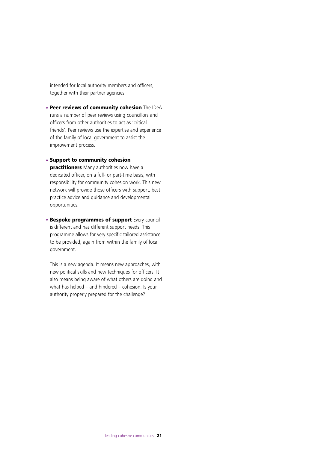intended for local authority members and officers, together with their partner agencies.

- **Peer reviews of community cohesion** The IDeA runs a number of peer reviews using councillors and officers from other authorities to act as 'critical friends'. Peer reviews use the expertise and experience of the family of local government to assist the improvement process.
- **Support to community cohesion practitioners** Many authorities now have a dedicated officer, on a full- or part-time basis, with responsibility for community cohesion work. This new network will provide those officers with support, best practice advice and guidance and developmental opportunities.
- **Bespoke programmes of support** Every council is different and has different support needs. This programme allows for very specific tailored assistance to be provided, again from within the family of local government.

This is a new agenda. It means new approaches, with new political skills and new techniques for officers. It also means being aware of what others are doing and what has helped – and hindered – cohesion. Is your authority properly prepared for the challenge?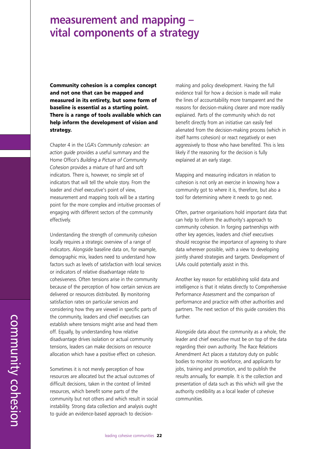### **measurement and mapping – vital components of a strategy**

**Community cohesion is a complex concept and not one that can be mapped and measured in its entirety, but some form of baseline is essential as a starting point. There is a range of tools available which can help inform the development of vision and strategy.**

Chapter 4 in the LGA's *Community cohesion: an action guide* provides a useful summary and the Home Office's *Building a Picture of Community Cohesion* provides a mixture of hard and soft indicators. There is, however, no simple set of indicators that will tell the whole story. From the leader and chief executive's point of view, measurement and mapping tools will be a starting point for the more complex and intuitive processes of engaging with different sectors of the community effectively.

Understanding the strength of community cohesion locally requires a strategic overview of a range of indicators. Alongside baseline data on, for example, demographic mix, leaders need to understand how factors such as levels of satisfaction with local services or indicators of relative disadvantage relate to cohesiveness. Often tensions arise in the community because of the perception of how certain services are delivered or resources distributed. By monitoring satisfaction rates on particular services and considering how they are viewed in specific parts of the community, leaders and chief executives can establish where tensions might arise and head them off. Equally, by understanding how relative disadvantage drives isolation or actual community tensions, leaders can make decisions on resource allocation which have a positive effect on cohesion.

Sometimes it is not merely perception of how resources are allocated but the actual outcomes of difficult decisions, taken in the context of limited resources, which benefit some parts of the community but not others and which result in social instability. Strong data collection and analysis ought to guide an evidence-based approach to decision-

making and policy development. Having the full evidence trail for how a decision is made will make the lines of accountability more transparent and the reasons for decision-making clearer and more readily explained. Parts of the community which do not benefit directly from an initiative can easily feel alienated from the decision-making process (which in itself harms cohesion) or react negatively or even aggressively to those who have benefited. This is less likely if the reasoning for the decision is fully explained at an early stage.

Mapping and measuring indicators in relation to cohesion is not only an exercise in knowing how a community got to where it is, therefore, but also a tool for determining where it needs to go next.

Often, partner organisations hold important data that can help to inform the authority's approach to community cohesion. In forging partnerships with other key agencies, leaders and chief executives should recognise the importance of agreeing to share data wherever possible, with a view to developing jointly shared strategies and targets. Development of LAAs could potentially assist in this.

Another key reason for establishing solid data and intelligence is that it relates directly to Comprehensive Performance Assessment and the comparison of performance and practice with other authorities and partners. The next section of this guide considers this further.

Alongside data about the community as a whole, the leader and chief executive must be on top of the data regarding their own authority. The Race Relations Amendment Act places a statutory duty on public bodies to monitor its workforce, and applicants for jobs, training and promotion, and to publish the results annually, for example. It is the collection and presentation of data such as this which will give the authority credibility as a local leader of cohesive communities.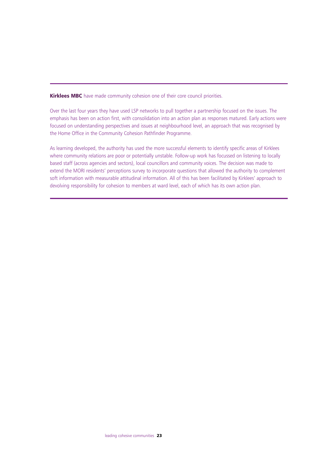**Kirklees MBC** have made community cohesion one of their core council priorities.

Over the last four years they have used LSP networks to pull together a partnership focused on the issues. The emphasis has been on action first, with consolidation into an action plan as responses matured. Early actions were focused on understanding perspectives and issues at neighbourhood level, an approach that was recognised by the Home Office in the Community Cohesion Pathfinder Programme.

As learning developed, the authority has used the more successful elements to identify specific areas of Kirklees where community relations are poor or potentially unstable. Follow-up work has focussed on listening to locally based staff (across agencies and sectors), local councillors and community voices. The decision was made to extend the MORI residents' perceptions survey to incorporate questions that allowed the authority to complement soft information with measurable attitudinal information. All of this has been facilitated by Kirklees' approach to devolving responsibility for cohesion to members at ward level, each of which has its own action plan.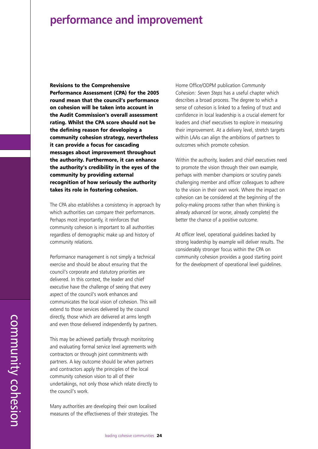### **performance and improvement**

**Revisions to the Comprehensive Performance Assessment (CPA) for the 2005 round mean that the council's performance on cohesion will be taken into account in the Audit Commission's overall assessment rating. Whilst the CPA score should not be the defining reason for developing a community cohesion strategy, nevertheless it can provide a focus for cascading messages about improvement throughout the authority. Furthermore, it can enhance the authority's credibility in the eyes of the community by providing external recognition of how seriously the authority takes its role in fostering cohesion.**

The CPA also establishes a consistency in approach by which authorities can compare their performances. Perhaps most importantly, it reinforces that community cohesion is important to all authorities regardless of demographic make up and history of community relations.

Performance management is not simply a technical exercise and should be about ensuring that the council's corporate and statutory priorities are delivered. In this context, the leader and chief executive have the challenge of seeing that every aspect of the council's work enhances and communicates the local vision of cohesion. This will extend to those services delivered by the council directly, those which are delivered at arms length and even those delivered independently by partners.

This may be achieved partially through monitoring and evaluating formal service level agreements with contractors or through joint commitments with partners. A key outcome should be when partners and contractors apply the principles of the local community cohesion vision to all of their undertakings, not only those which relate directly to the council's work.

Many authorities are developing their own localised measures of the effectiveness of their strategies. The

Home Office/ODPM publication *Community Cohesion: Seven Steps* has a useful chapter which describes a broad process. The degree to which a sense of cohesion is linked to a feeling of trust and confidence in local leadership is a crucial element for leaders and chief executives to explore in measuring their improvement. At a delivery level, stretch targets within LAAs can align the ambitions of partners to outcomes which promote cohesion.

Within the authority, leaders and chief executives need to promote the vision through their own example, perhaps with member champions or scrutiny panels challenging member and officer colleagues to adhere to the vision in their own work. Where the impact on cohesion can be considered at the beginning of the policy-making process rather than when thinking is already advanced (or worse, already complete) the better the chance of a positive outcome.

At officer level, operational guidelines backed by strong leadership by example will deliver results. The considerably stronger focus within the CPA on community cohesion provides a good starting point for the development of operational level guidelines.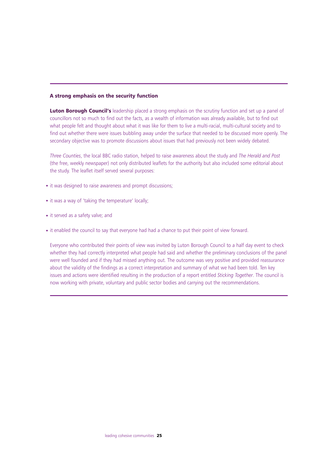### **A strong emphasis on the security function**

**Luton Borough Council's** leadership placed a strong emphasis on the scrutiny function and set up a panel of councillors not so much to find out the facts, as a wealth of information was already available, but to find out what people felt and thought about what it was like for them to live a multi-racial, multi-cultural society and to find out whether there were issues bubbling away under the surface that needed to be discussed more openly. The secondary objective was to promote discussions about issues that had previously not been widely debated.

*Three Counties*, the local BBC radio station, helped to raise awareness about the study and *The Herald and Post* (the free, weekly newspaper) not only distributed leaflets for the authority but also included some editorial about the study. The leaflet itself served several purposes:

- it was designed to raise awareness and prompt discussions;
- it was a way of 'taking the temperature' locally;
- it served as a safety valve; and
- it enabled the council to say that everyone had had a chance to put their point of view forward.

Everyone who contributed their points of view was invited by Luton Borough Council to a half day event to check whether they had correctly interpreted what people had said and whether the preliminary conclusions of the panel were well founded and if they had missed anything out. The outcome was very positive and provided reassurance about the validity of the findings as a correct interpretation and summary of what we had been told. Ten key issues and actions were identified resulting in the production of a report entitled *Sticking Together*. The council is now working with private, voluntary and public sector bodies and carrying out the recommendations.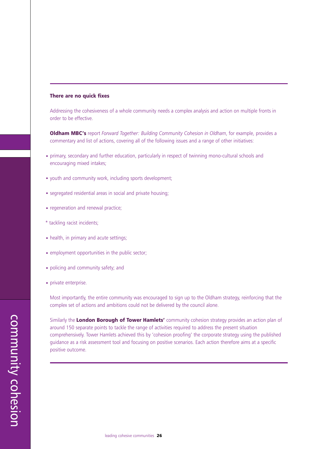### **There are no quick fixes**

Addressing the cohesiveness of a whole community needs a complex analysis and action on multiple fronts in order to be effective.

**Oldham MBC's** report *Forward Together: Building Community Cohesion in Oldham*, for example, provides a commentary and list of actions, covering all of the following issues and a range of other initiatives:

- primary, secondary and further education, particularly in respect of twinning mono-cultural schools and encouraging mixed intakes;
- youth and community work, including sports development;
- segregated residential areas in social and private housing;
- regeneration and renewal practice;
- \* tackling racist incidents;
- health, in primary and acute settings:
- employment opportunities in the public sector;
- policing and community safety; and
- private enterprise.

Most importantly, the entire community was encouraged to sign up to the Oldham strategy, reinforcing that the complex set of actions and ambitions could not be delivered by the council alone.

Similarly the **London Borough of Tower Hamlets'** community cohesion strategy provides an action plan of around 150 separate points to tackle the range of activities required to address the present situation comprehensively. Tower Hamlets achieved this by 'cohesion proofing' the corporate strategy using the published guidance as a risk assessment tool and focusing on positive scenarios. Each action therefore aims at a specific positive outcome.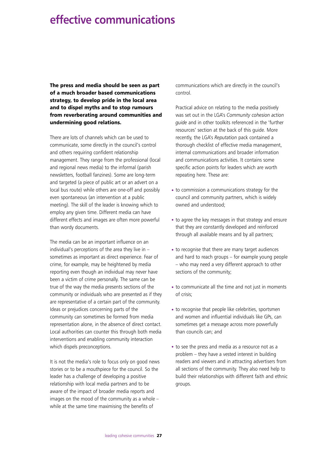## **effective communications**

**The press and media should be seen as part of a much broader based communications strategy, to develop pride in the local area and to dispel myths and to stop rumours from reverberating around communities and undermining good relations.**

There are lots of channels which can be used to communicate, some directly in the council's control and others requiring confident relationship management. They range from the professional (local and regional news media) to the informal (parish newsletters, football fanzines). Some are long-term and targeted (a piece of public art or an advert on a local bus route) while others are one-off and possibly even spontaneous (an intervention at a public meeting). The skill of the leader is knowing which to employ any given time. Different media can have different effects and images are often more powerful than wordy documents.

The media can be an important influence on an individual's perceptions of the area they live in – sometimes as important as direct experience. Fear of crime, for example, may be heightened by media reporting even though an individual may never have been a victim of crime personally. The same can be true of the way the media presents sections of the community or individuals who are presented as if they are representative of a certain part of the community. Ideas or prejudices concerning parts of the community can sometimes be formed from media representation alone, in the absence of direct contact. Local authorities can counter this through both media interventions and enabling community interaction which dispels preconceptions.

It is not the media's role to focus only on good news stories or to be a mouthpiece for the council. So the leader has a challenge of developing a positive relationship with local media partners and to be aware of the impact of broader media reports and images on the mood of the community as a whole – while at the same time maximising the benefits of

communications which are directly in the council's control.

Practical advice on relating to the media positively was set out in the LGA's *Community cohesion action guide* and in other toolkits referenced in the 'further resources' section at the back of this guide. More recently, the LGA's *Reputation* pack contained a thorough checklist of effective media management, internal communications and broader information and communications activities. It contains some specific action points for leaders which are worth repeating here. These are:

- to commission a communications strategy for the council and community partners, which is widely owned and understood;
- to agree the key messages in that strategy and ensure that they are constantly developed and reinforced through all available means and by all partners;
- to recognise that there are many target audiences and hard to reach groups – for example young people – who may need a very different approach to other sections of the community;
- to communicate all the time and not just in moments of crisis;
- to recognise that people like celebrities, sportsmen and women and influential individuals like GPs, can sometimes get a message across more powerfully than councils can; and
- to see the press and media as a resource not as a problem – they have a vested interest in building readers and viewers and in attracting advertisers from all sections of the community. They also need help to build their relationships with different faith and ethnic groups.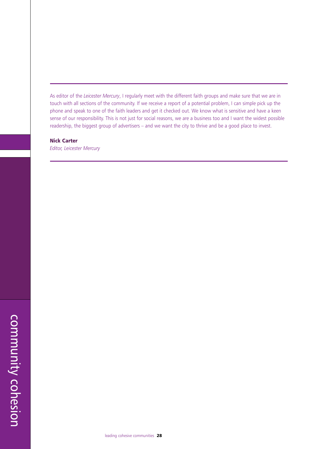As editor of the *Leicester Mercury*, I regularly meet with the different faith groups and make sure that we are in touch with all sections of the community. If we receive a report of a potential problem, I can simple pick up the phone and speak to one of the faith leaders and get it checked out. We know what is sensitive and have a keen sense of our responsibility. This is not just for social reasons, we are a business too and I want the widest possible readership, the biggest group of advertisers – and we want the city to thrive and be a good place to invest.

#### **Nick Carter**

*Editor, Leicester Mercury*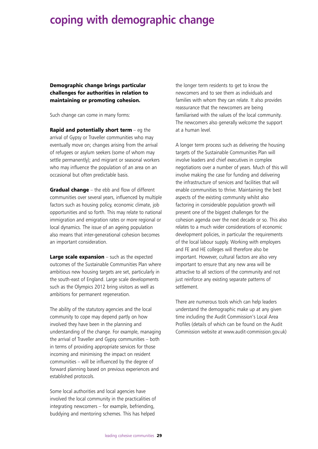### **coping with demographic change**

**Demographic change brings particular challenges for authorities in relation to maintaining or promoting cohesion.**

Such change can come in many forms:

**Rapid and potentially short term** – eg the arrival of Gypsy or Traveller communities who may eventually move on; changes arising from the arrival of refugees or asylum seekers (some of whom may settle permanently); and migrant or seasonal workers who may influence the population of an area on an occasional but often predictable basis.

**Gradual change** – the ebb and flow of different communities over several years, influenced by multiple factors such as housing policy, economic climate, job opportunities and so forth. This may relate to national immigration and emigration rates or more regional or local dynamics. The issue of an ageing population also means that inter-generational cohesion becomes an important consideration.

**Large scale expansion** – such as the expected outcomes of the Sustainable Communities Plan where ambitious new housing targets are set, particularly in the south-east of England. Large scale developments such as the Olympics 2012 bring visitors as well as ambitions for permanent regeneration.

The ability of the statutory agencies and the local community to cope may depend partly on how involved they have been in the planning and understanding of the change. For example, managing the arrival of Traveller and Gypsy communities – both in terms of providing appropriate services for those incoming and minimising the impact on resident communities – will be influenced by the degree of forward planning based on previous experiences and established protocols.

Some local authorities and local agencies have involved the local community in the practicalities of integrating newcomers – for example, befriending, buddying and mentoring schemes. This has helped

the longer term residents to get to know the newcomers and to see them as individuals and families with whom they can relate. It also provides reassurance that the newcomers are being familiarised with the values of the local community. The newcomers also generally welcome the support at a human level.

A longer term process such as delivering the housing targets of the Sustainable Communities Plan will involve leaders and chief executives in complex negotiations over a number of years. Much of this will involve making the case for funding and delivering the infrastructure of services and facilities that will enable communities to thrive. Maintaining the best aspects of the existing community whilst also factoring in considerable population growth will present one of the biggest challenges for the cohesion agenda over the next decade or so. This also relates to a much wider considerations of economic development policies, in particular the requirements of the local labour supply. Working with employers and FE and HE colleges will therefore also be important. However, cultural factors are also very important to ensure that any new area will be attractive to all sections of the community and not just reinforce any existing separate patterns of settlement.

There are numerous tools which can help leaders understand the demographic make up at any given time including the Audit Commission's Local Area Profiles (details of which can be found on the Audit Commission website at www.audit-commission.gov.uk)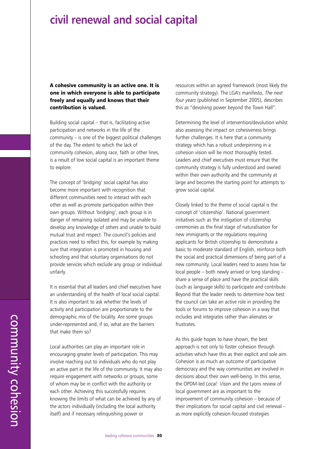### **civil renewal and social capital**

**A cohesive community is an active one. It is one in which everyone is able to participate freely and equally and knows that their contribution is valued.**

Building social capital – that is, facilitating active participation and networks in the life of the community – is one of the biggest political challenges of the day. The extent to which the lack of community cohesion, along race, faith or other lines, is a result of low social capital is an important theme to explore.

The concept of 'bridging' social capital has also become more important with recognition that different communities need to interact with each other as well as promote participation within their own groups. Without 'bridging', each group is in danger of remaining isolated and may be unable to develop any knowledge of others and unable to build mutual trust and respect. The council's policies and practices need to reflect this, for example by making sure that integration is promoted in housing and schooling and that voluntary organisations do not provide services which exclude any group or individual unfairly.

It is essential that all leaders and chief executives have an understanding of the health of local social capital. It is also important to ask whether the levels of activity and participation are proportionate to the demographic mix of the locality. Are some groups under-represented and, if so, what are the barriers that make them so?

Local authorities can play an important role in encouraging greater levels of participation. This may involve reaching out to individuals who do not play an active part in the life of the community. It may also require engagement with networks or groups, some of whom may be in conflict with the authority or each other. Achieving this successfully requires knowing the limits of what can be achieved by any of the actors individually (including the local authority itself) and if necessary relinquishing power or

resources within an agreed framework (most likely the community strategy). The LGA's manifesto, *The next four years* (published in September 2005), describes this as "devolving power beyond the Town Hall".

Determining the level of intervention/devolution whilst also assessing the impact on cohesiveness brings further challenges. It is here that a community strategy which has a robust underpinning in a cohesion vision will be most thoroughly tested. Leaders and chief executives must ensure that the community strategy is fully understood and owned within their own authority and the community at large and becomes the starting point for attempts to grow social capital.

Closely linked to the theme of social capital is the concept of 'citizenship'. National government initiatives such as the instigation of citizenship ceremonies as the final stage of naturalisation for new immigrants or the regulations requiring applicants for British citizenship to demonstrate a basic to moderate standard of English, reinforce both the social and practical dimensions of being part of a new community. Local leaders need to assess how far local people – both newly arrived or long standing – share a sense of place and have the practical skills (such as language skills) to participate and contribute. Beyond that the leader needs to determine how best the council can take an active role in providing the tools or forums to improve cohesion in a way that includes and integrates rather than alienates or frustrates.

As this guide hopes to have shown, the best approach is not only to foster cohesion through activities which have this as their explicit and sole aim. Cohesion is as much an outcome of participative democracy and the way communities are involved in decisions about their own well-being. In this sense, the OPDM-led *Local: Vison* and the Lyons review of local government are as important to the improvement of community cohesion – because of their implications for social capital and civil renewal – as more explicitly cohesion-focused strategies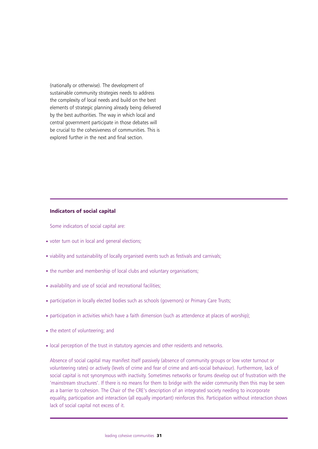(nationally or otherwise). The development of sustainable community strategies needs to address the complexity of local needs and build on the best elements of strategic planning already being delivered by the best authorities. The way in which local and central government participate in those debates will be crucial to the cohesiveness of communities. This is explored further in the next and final section.

#### **Indicators of social capital**

Some indicators of social capital are:

- voter turn out in local and general elections;
- viability and sustainability of locally organised events such as festivals and carnivals;
- the number and membership of local clubs and voluntary organisations;
- availability and use of social and recreational facilities;
- participation in locally elected bodies such as schools (governors) or Primary Care Trusts;
- participation in activities which have a faith dimension (such as attendence at places of worship);
- the extent of volunteering; and
- local perception of the trust in statutory agencies and other residents and networks.

Absence of social capital may manifest itself passively (absence of community groups or low voter turnout or volunteering rates) or actively (levels of crime and fear of crime and anti-social behaviour). Furthermore, lack of social capital is not synonymous with inactivity. Sometimes networks or forums develop out of frustration with the 'mainstream structures'. If there is no means for them to bridge with the wider community then this may be seen as a barrier to cohesion. The Chair of the CRE's description of an integrated society needing to incorporate equality, participation and interaction (all equally important) reinforces this. Participation without interaction shows lack of social capital not excess of it.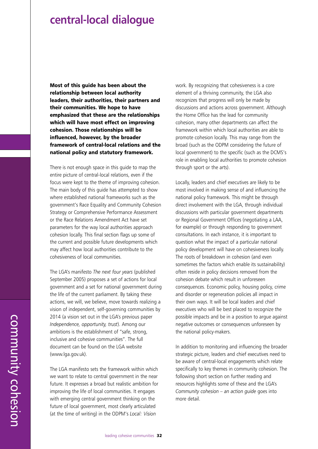### **central-local dialogue**

**Most of this guide has been about the relationship between local authority leaders, their authorities, their partners and their communities. We hope to have emphasized that these are the relationships which will have most effect on improving cohesion. Those relationships will be influenced, however, by the broader framework of central-local relations and the national policy and statutory framework.**

There is not enough space in this guide to map the entire picture of central-local relations, even if the focus were kept to the theme of improving cohesion. The main body of this guide has attempted to show where established national frameworks such as the government's Race Equality and Community Cohesion Strategy or Comprehensive Performance Assessment or the Race Relations Amendment Act have set parameters for the way local authorities approach cohesion locally. This final section flags up some of the current and possible future developments which may affect how local authorities contribute to the cohesiveness of local communities.

The LGA's manifesto *The next four years* (published September 2005) proposes a set of actions for local government and a set for national government during the life of the current parliament. By taking these actions, we will, we believe, move towards realizing a vision of independent, self-governing communities by 2014 (a vision set out in the LGA's previous paper *Independence, opportunity, trust*). Among our ambitions is the establishment of "safe, strong, inclusive and cohesive communities". The full document can be found on the LGA website (www.lga.gov.uk).

The LGA manifesto sets the framework within which we want to relate to central government in the near future. It expresses a broad but realistic ambition for improving the life of local communities. It engages with emerging central government thinking on the future of local government, most clearly articulated (at the time of writing) in the ODPM's *Local: Vision*

work. By recognizing that cohesiveness is a core element of a thriving community, the LGA also recognizes that progress will only be made by discussions and actions across government. Although the Home Office has the lead for community cohesion, many other departments can affect the framework within which local authorities are able to promote cohesion locally. This may range from the broad (such as the ODPM considering the future of local government) to the specific (such as the DCMS's role in enabling local authorities to promote cohesion through sport or the arts).

Locally, leaders and chief executives are likely to be most involved in making sense of and influencing the national policy framework. This might be through direct involvement with the LGA, through individual discussions with particular government departments or Regional Government Offices (negotiating a LAA, for example) or through responding to government consultations. In each instance, it is important to question what the impact of a particular national policy development will have on cohesiveness locally. The roots of breakdown in cohesion (and even sometimes the factors which enable its sustainability) often reside in policy decisions removed from the cohesion debate which result in unforeseen consequences. Economic policy, housing policy, crime and disorder or regeneration policies all impact in their own ways. It will be local leaders and chief executives who will be best placed to recognize the possible impacts and be in a position to argue against negative outcomes or consequences unforeseen by the national policy-makers.

In addition to monitoring and influencing the broader strategic picture, leaders and chief executives need to be aware of central-local engagements which relate specifically to key themes in community cohesion. The following short section on further reading and resources highlights some of these and the LGA's *Community cohesion – an action guide* goes into more detail.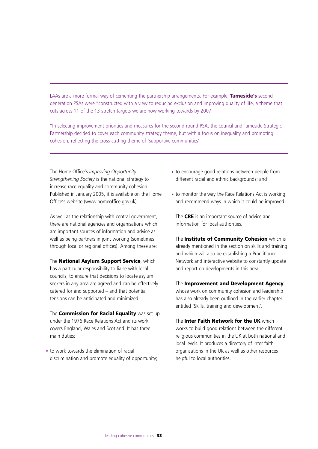LAAs are a more formal way of cementing the partnership arrangements. For example, **Tameside's** second generation PSAs were "constructed with a view to reducing exclusion and improving quality of life, a theme that cuts across 11 of the 13 stretch targets we are now working towards by 2007:

"In selecting improvement priorities and measures for the second round PSA, the council and Tameside Strategic Partnership decided to cover each community strategy theme, but with a focus on inequality and promoting cohesion, reflecting the cross-cutting theme of 'supportive communities'.

The Home Office's *Improving Opportunity, Strengthening Society* is the national strategy to increase race equality and community cohesion. Published in January 2005, it is available on the Home Office's website (www.homeoffice.gov.uk).

As well as the relationship with central government, there are national agencies and organisations which are important sources of information and advice as well as being partners in joint working (sometimes through local or regional offices). Among these are:

The **National Asylum Support Service**, which has a particular responsibility to liaise with local councils, to ensure that decisions to locate asylum seekers in any area are agreed and can be effectively catered for and supported – and that potential tensions can be anticipated and minimized.

The **Commission for Racial Equality** was set up under the 1976 Race Relations Act and its work covers England, Wales and Scotland. It has three main duties:

• to work towards the elimination of racial discrimination and promote equality of opportunity;

- to encourage good relations between people from different racial and ethnic backgrounds; and
- to monitor the way the Race Relations Act is working and recommend ways in which it could be improved.

The **CRE** is an important source of advice and information for local authorities.

The **Institute of Community Cohesion** which is already mentioned in the section on skills and training and which will also be establishing a Practitioner Network and interactive website to constantly update and report on developments in this area.

The **Improvement and Development Agency** whose work on community cohesion and leadership has also already been outlined in the earlier chapter entitled 'Skills, training and development'.

The **Inter Faith Network for the UK** which works to build good relations between the different religious communities in the UK at both national and local levels. It produces a directory of inter faith organisations in the UK as well as other resources helpful to local authorities.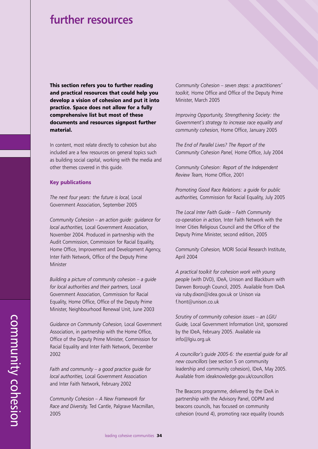### **further resources**

**This section refers you to further reading and practical resources that could help you develop a vision of cohesion and put it into practice. Space does not allow for a fully comprehensive list but most of these documents and resources signpost further material.** 

In content, most relate directly to cohesion but also included are a few resources on general topics such as building social capital, working with the media and other themes covered in this guide.

#### **Key publications**

*The next four years: the future is local,* Local Government Association, September 2005

*Community Cohesion – an action guide: guidance for local authorities,* Local Government Association, November 2004. Produced in partnership with the Audit Commission, Commission for Racial Equality, Home Office, Improvement and Development Agency, Inter Faith Network, Office of the Deputy Prime Minister

*Building a picture of community cohesion – a guide for local authorities and their partners,* Local Government Association, Commission for Racial Equality, Home Office, Office of the Deputy Prime Minister, Neighbourhood Renewal Unit, June 2003

*Guidance on Community Cohesion,* Local Government Association, in partnership with the Home Office, Office of the Deputy Prime Minister, Commission for Racial Equality and Inter Faith Network, December 2002

*Faith and community – a good practice guide for local authorities,* Local Government Association and Inter Faith Network, February 2002

*Community Cohesion – A New Framework for Race and Diversity,* Ted Cantle, Palgrave Macmillan, 2005

*Community Cohesion – seven steps: a practitioners' toolkit,* Home Office and Office of the Deputy Prime Minister, March 2005

*Improving Opportunity, Strengthening Society: the Government's strategy to increase race equality and community cohesion,* Home Office, January 2005

*The End of Parallel Lives? The Report of the Community Cohesion Panel,* Home Office, July 2004

*Community Cohesion: Report of the Independent Review Team,* Home Office, 2001

*Promoting Good Race Relations: a guide for public authorities,* Commission for Racial Equality, July 2005

*The Local Inter Faith Guide – Faith Community co-operation in action,* Inter Faith Network with the Inner Cities Religious Council and the Office of the Deputy Prime Minister, second edition, 2005

*Community Cohesion,* MORI Social Research Institute, April 2004

*A practical toolkit for cohesion work with young people* (with DVD), IDeA, Unison and Blackburn with Darwen Borough Council, 2005. Available from IDeA via ruby.dixon@idea.gov.uk or Unison via f.hont@unison.co.uk

*Scrutiny of community cohesion issues – an LGIU Guide,* Local Government Information Unit, sponsored by the IDeA, February 2005. Available via info@lgiu.org.uk

*A councillor's guide 2005-6: the essential guide for all new councillors* (see section 5 on community leadership and community cohesion), IDeA, May 2005. Available from ideaknowledge.gov.uk/councillors

The Beacons programme, delivered by the IDeA in partnership with the Advisory Panel, ODPM and beacons councils, has focused on community cohesion (round 4), promoting race equality (rounds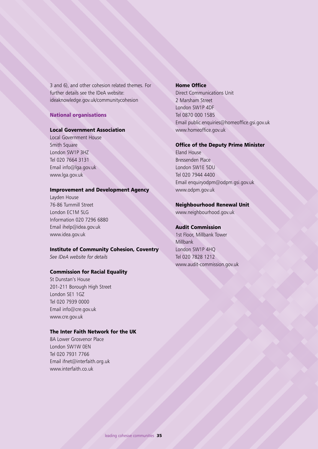3 and 6), and other cohesion related themes. For further details see the IDeA website: ideaknowledge.gov.uk/communitycohesion

### **National organisations**

### **Local Government Association**

Local Government House Smith Square London SW1P 3HZ Tel 020 7664 3131 Email info@lga.gov.uk www.lga.gov.uk

### **Improvement and Development Agency**

Layden House 76-86 Turnmill Street London FC1M 5LG Information 020 7296 6880 Email ihelp@idea.gov.uk www.idea.gov.uk

### **Institute of Community Cohesion, Coventry**

*See IDeA website for details*

### **Commission for Racial Equality**

St Dunstan's House 201-211 Borough High Street London SE1 1GZ Tel 020 7939 0000 Email info@cre.gov.uk www.cre.gov.uk

### **The Inter Faith Network for the UK**

8A Lower Grosvenor Place London SW1W 0EN Tel 020 7931 7766 Email ifnet@interfaith.org.uk www.interfaith.co.uk

### **Home Office**

Direct Communications Unit 2 Marsham Street London SW1P 4DF Tel 0870 000 1585 Email public.enquiries@homeoffice.gsi.gov.uk www.homeoffice.gov.uk

#### **Office of the Deputy Prime Minister**

Eland House Bressenden Place London SW1E 5DU Tel 020 7944 4400 Email enquiryodpm@odpm.gsi.gov.uk www.odpm.gov.uk

### **Neighbourhood Renewal Unit**

www.neighbourhood.gov.uk

#### **Audit Commission**

1st Floor, Millbank Tower Millbank London SW1P 4HQ Tel 020 7828 1212 www.audit-commission.gov.uk